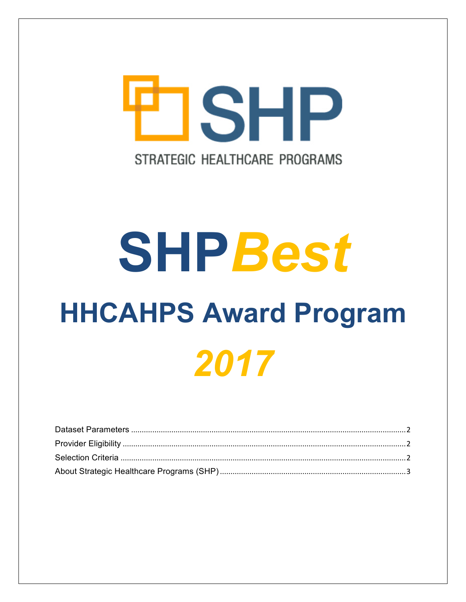

# **SHPBest HHCAHPS Award Program** 2017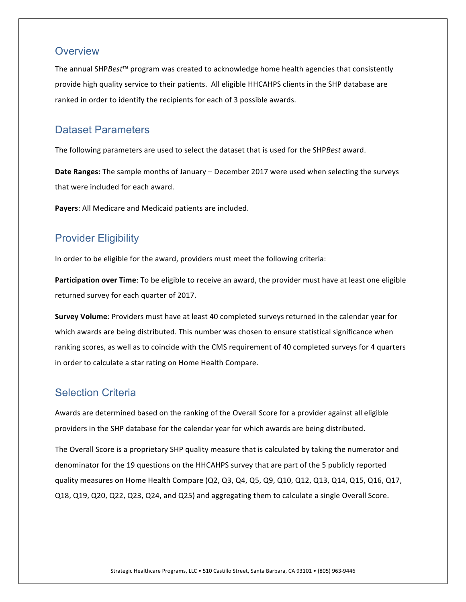### **Overview**

The annual SHP*Best*<sup>™</sup> program was created to acknowledge home health agencies that consistently provide high quality service to their patients. All eligible HHCAHPS clients in the SHP database are ranked in order to identify the recipients for each of 3 possible awards.

### <span id="page-1-0"></span>Dataset Parameters

The following parameters are used to select the dataset that is used for the SHP*Best* award.

Date Ranges: The sample months of January – December 2017 were used when selecting the surveys that were included for each award.

Payers: All Medicare and Medicaid patients are included.

# <span id="page-1-1"></span>Provider Eligibility

In order to be eligible for the award, providers must meet the following criteria:

**Participation over Time**: To be eligible to receive an award, the provider must have at least one eligible returned survey for each quarter of 2017.

**Survey Volume**: Providers must have at least 40 completed surveys returned in the calendar year for which awards are being distributed. This number was chosen to ensure statistical significance when ranking scores, as well as to coincide with the CMS requirement of 40 completed surveys for 4 quarters in order to calculate a star rating on Home Health Compare.

# <span id="page-1-2"></span>Selection Criteria

Awards are determined based on the ranking of the Overall Score for a provider against all eligible providers in the SHP database for the calendar year for which awards are being distributed.

The Overall Score is a proprietary SHP quality measure that is calculated by taking the numerator and denominator for the 19 questions on the HHCAHPS survey that are part of the 5 publicly reported quality measures on Home Health Compare (Q2, Q3, Q4, Q5, Q9, Q10, Q12, Q13, Q14, Q15, Q16, Q17, Q18, Q19, Q20, Q22, Q23, Q24, and Q25) and aggregating them to calculate a single Overall Score.